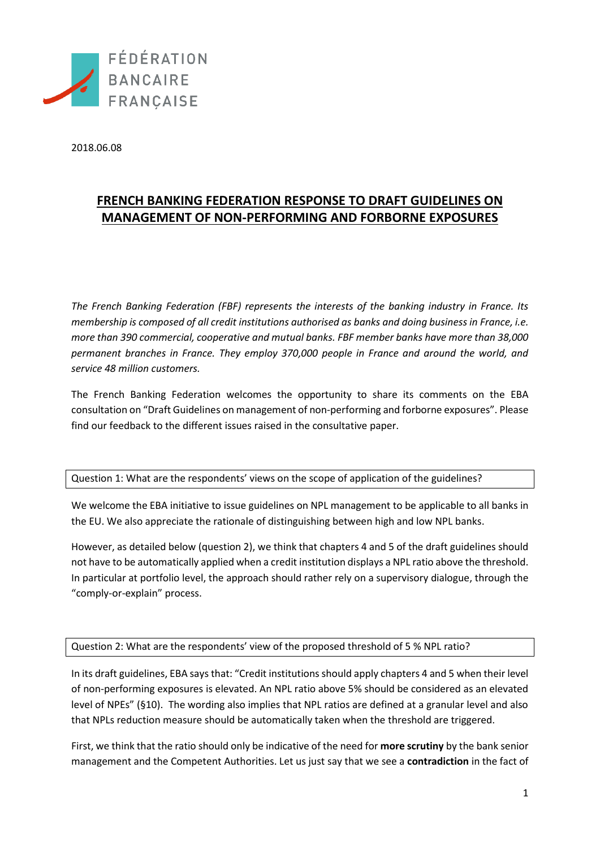

2018.06.08

## **FRENCH BANKING FEDERATION RESPONSE TO DRAFT GUIDELINES ON MANAGEMENT OF NON-PERFORMING AND FORBORNE EXPOSURES**

*The French Banking Federation (FBF) represents the interests of the banking industry in France. Its membership is composed of all credit institutions authorised as banks and doing business in France, i.e. more than 390 commercial, cooperative and mutual banks. FBF member banks have more than 38,000 permanent branches in France. They employ 370,000 people in France and around the world, and service 48 million customers.*

The French Banking Federation welcomes the opportunity to share its comments on the EBA consultation on "Draft Guidelines on management of non-performing and forborne exposures". Please find our feedback to the different issues raised in the consultative paper.

Question 1: What are the respondents' views on the scope of application of the guidelines?

We welcome the EBA initiative to issue guidelines on NPL management to be applicable to all banks in the EU. We also appreciate the rationale of distinguishing between high and low NPL banks.

However, as detailed below (question 2), we think that chapters 4 and 5 of the draft guidelines should not have to be automatically applied when a credit institution displays a NPL ratio above the threshold. In particular at portfolio level, the approach should rather rely on a supervisory dialogue, through the "comply-or-explain" process.

Question 2: What are the respondents' view of the proposed threshold of 5 % NPL ratio?

In its draft guidelines, EBA says that: "Credit institutions should apply chapters 4 and 5 when their level of non-performing exposures is elevated. An NPL ratio above 5% should be considered as an elevated level of NPEs" (§10). The wording also implies that NPL ratios are defined at a granular level and also that NPLs reduction measure should be automatically taken when the threshold are triggered.

First, we think that the ratio should only be indicative of the need for **more scrutiny** by the bank senior management and the Competent Authorities. Let us just say that we see a **contradiction** in the fact of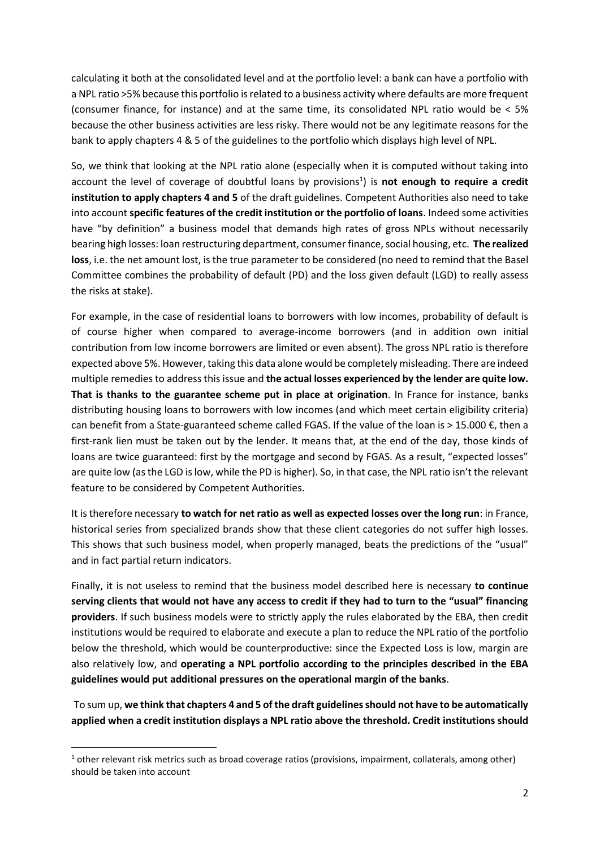calculating it both at the consolidated level and at the portfolio level: a bank can have a portfolio with a NPL ratio >5% because this portfolio is related to a business activity where defaults are more frequent (consumer finance, for instance) and at the same time, its consolidated NPL ratio would be < 5% because the other business activities are less risky. There would not be any legitimate reasons for the bank to apply chapters 4 & 5 of the guidelines to the portfolio which displays high level of NPL.

So, we think that looking at the NPL ratio alone (especially when it is computed without taking into account the level of coverage of doubtful loans by provisions<sup>1</sup>) is **not enough to require a credit institution to apply chapters 4 and 5** of the draft guidelines. Competent Authorities also need to take into account **specific features of the credit institution or the portfolio of loans**. Indeed some activities have "by definition" a business model that demands high rates of gross NPLs without necessarily bearing high losses: loan restructuring department, consumer finance, social housing, etc. **The realized loss**, i.e. the net amount lost, is the true parameter to be considered (no need to remind that the Basel Committee combines the probability of default (PD) and the loss given default (LGD) to really assess the risks at stake).

For example, in the case of residential loans to borrowers with low incomes, probability of default is of course higher when compared to average-income borrowers (and in addition own initial contribution from low income borrowers are limited or even absent). The gross NPL ratio is therefore expected above 5%. However, taking this data alone would be completely misleading. There are indeed multiple remedies to address this issue and **the actual losses experienced by the lender are quite low. That is thanks to the guarantee scheme put in place at origination**. In France for instance, banks distributing housing loans to borrowers with low incomes (and which meet certain eligibility criteria) can benefit from a State-guaranteed scheme called FGAS. If the value of the loan is  $> 15.000 \epsilon$ , then a first-rank lien must be taken out by the lender. It means that, at the end of the day, those kinds of loans are twice guaranteed: first by the mortgage and second by FGAS. As a result, "expected losses" are quite low (as the LGD is low, while the PD is higher). So, in that case, the NPL ratio isn't the relevant feature to be considered by Competent Authorities.

It is therefore necessary **to watch for net ratio as well as expected losses over the long run**: in France, historical series from specialized brands show that these client categories do not suffer high losses. This shows that such business model, when properly managed, beats the predictions of the "usual" and in fact partial return indicators.

Finally, it is not useless to remind that the business model described here is necessary **to continue serving clients that would not have any access to credit if they had to turn to the "usual" financing providers**. If such business models were to strictly apply the rules elaborated by the EBA, then credit institutions would be required to elaborate and execute a plan to reduce the NPL ratio of the portfolio below the threshold, which would be counterproductive: since the Expected Loss is low, margin are also relatively low, and **operating a NPL portfolio according to the principles described in the EBA guidelines would put additional pressures on the operational margin of the banks**.

To sum up, **we think that chapters 4 and 5 of the draft guidelines should not have to be automatically applied when a credit institution displays a NPL ratio above the threshold. Credit institutions should** 

1

<sup>&</sup>lt;sup>1</sup> other relevant risk metrics such as broad coverage ratios (provisions, impairment, collaterals, among other) should be taken into account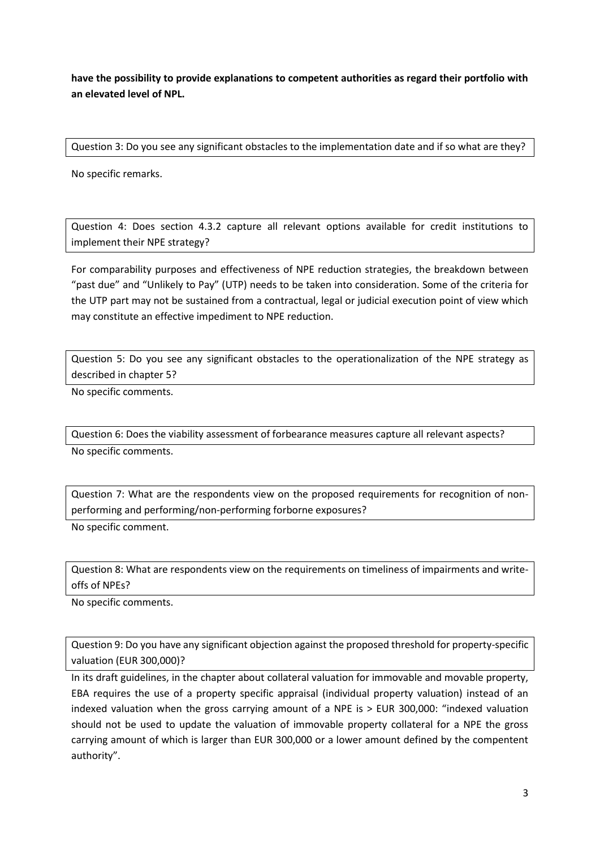**have the possibility to provide explanations to competent authorities as regard their portfolio with an elevated level of NPL.** 

Question 3: Do you see any significant obstacles to the implementation date and if so what are they?

No specific remarks.

Question 4: Does section 4.3.2 capture all relevant options available for credit institutions to implement their NPE strategy?

For comparability purposes and effectiveness of NPE reduction strategies, the breakdown between "past due" and "Unlikely to Pay" (UTP) needs to be taken into consideration. Some of the criteria for the UTP part may not be sustained from a contractual, legal or judicial execution point of view which may constitute an effective impediment to NPE reduction.

Question 5: Do you see any significant obstacles to the operationalization of the NPE strategy as described in chapter 5?

No specific comments.

Question 6: Does the viability assessment of forbearance measures capture all relevant aspects?

No specific comments.

Question 7: What are the respondents view on the proposed requirements for recognition of nonperforming and performing/non-performing forborne exposures?

No specific comment.

Question 8: What are respondents view on the requirements on timeliness of impairments and writeoffs of NPEs?

No specific comments.

Question 9: Do you have any significant objection against the proposed threshold for property-specific valuation (EUR 300,000)?

In its draft guidelines, in the chapter about collateral valuation for immovable and movable property, EBA requires the use of a property specific appraisal (individual property valuation) instead of an indexed valuation when the gross carrying amount of a NPE is > EUR 300,000: "indexed valuation should not be used to update the valuation of immovable property collateral for a NPE the gross carrying amount of which is larger than EUR 300,000 or a lower amount defined by the compentent authority".